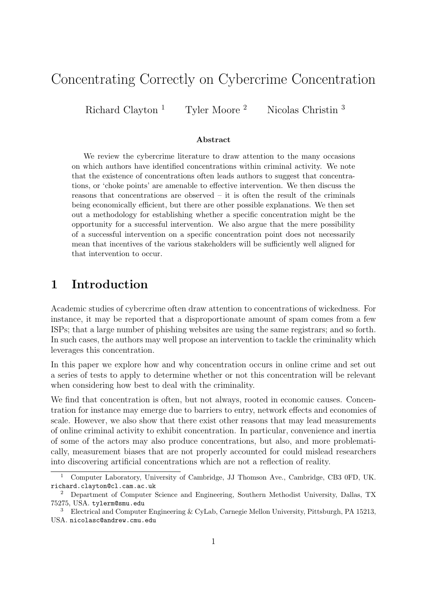# Concentrating Correctly on Cybercrime Concentration

Richard Clayton<sup>1</sup> Tyler Moore<sup>2</sup> Nicolas Christin<sup>3</sup>

#### Abstract

We review the cybercrime literature to draw attention to the many occasions on which authors have identified concentrations within criminal activity. We note that the existence of concentrations often leads authors to suggest that concentrations, or 'choke points' are amenable to effective intervention. We then discuss the reasons that concentrations are observed – it is often the result of the criminals being economically efficient, but there are other possible explanations. We then set out a methodology for establishing whether a specific concentration might be the opportunity for a successful intervention. We also argue that the mere possibility of a successful intervention on a specific concentration point does not necessarily mean that incentives of the various stakeholders will be sufficiently well aligned for that intervention to occur.

## 1 Introduction

Academic studies of cybercrime often draw attention to concentrations of wickedness. For instance, it may be reported that a disproportionate amount of spam comes from a few ISPs; that a large number of phishing websites are using the same registrars; and so forth. In such cases, the authors may well propose an intervention to tackle the criminality which leverages this concentration.

In this paper we explore how and why concentration occurs in online crime and set out a series of tests to apply to determine whether or not this concentration will be relevant when considering how best to deal with the criminality.

We find that concentration is often, but not always, rooted in economic causes. Concentration for instance may emerge due to barriers to entry, network effects and economies of scale. However, we also show that there exist other reasons that may lead measurements of online criminal activity to exhibit concentration. In particular, convenience and inertia of some of the actors may also produce concentrations, but also, and more problematically, measurement biases that are not properly accounted for could mislead researchers into discovering artificial concentrations which are not a reflection of reality.

<sup>1</sup> Computer Laboratory, University of Cambridge, JJ Thomson Ave., Cambridge, CB3 0FD, UK. richard.clayton@cl.cam.ac.uk

<sup>2</sup> Department of Computer Science and Engineering, Southern Methodist University, Dallas, TX 75275, USA. tylerm@smu.edu

<sup>&</sup>lt;sup>3</sup> Electrical and Computer Engineering & CyLab, Carnegie Mellon University, Pittsburgh, PA 15213, USA. nicolasc@andrew.cmu.edu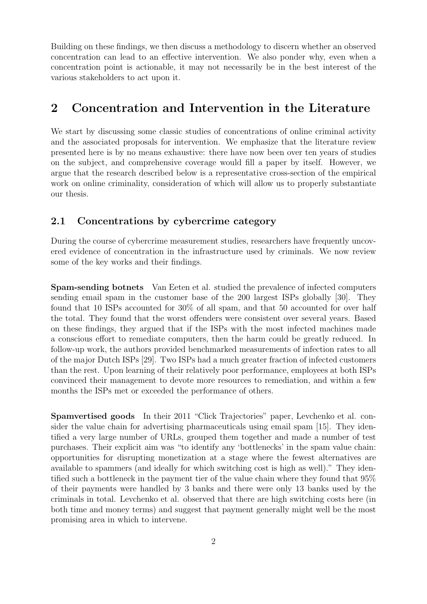Building on these findings, we then discuss a methodology to discern whether an observed concentration can lead to an effective intervention. We also ponder why, even when a concentration point is actionable, it may not necessarily be in the best interest of the various stakeholders to act upon it.

# 2 Concentration and Intervention in the Literature

We start by discussing some classic studies of concentrations of online criminal activity and the associated proposals for intervention. We emphasize that the literature review presented here is by no means exhaustive: there have now been over ten years of studies on the subject, and comprehensive coverage would fill a paper by itself. However, we argue that the research described below is a representative cross-section of the empirical work on online criminality, consideration of which will allow us to properly substantiate our thesis.

### 2.1 Concentrations by cybercrime category

During the course of cybercrime measurement studies, researchers have frequently uncovered evidence of concentration in the infrastructure used by criminals. We now review some of the key works and their findings.

Spam-sending botnets Van Eeten et al. studied the prevalence of infected computers sending email spam in the customer base of the 200 largest ISPs globally [\[30\]](#page-15-0). They found that 10 ISPs accounted for 30% of all spam, and that 50 accounted for over half the total. They found that the worst offenders were consistent over several years. Based on these findings, they argued that if the ISPs with the most infected machines made a conscious effort to remediate computers, then the harm could be greatly reduced. In follow-up work, the authors provided benchmarked measurements of infection rates to all of the major Dutch ISPs [\[29\]](#page-15-1). Two ISPs had a much greater fraction of infected customers than the rest. Upon learning of their relatively poor performance, employees at both ISPs convinced their management to devote more resources to remediation, and within a few months the ISPs met or exceeded the performance of others.

Spamvertised goods In their 2011 "Click Trajectories" paper, Levchenko et al. consider the value chain for advertising pharmaceuticals using email spam [\[15\]](#page-14-0). They identified a very large number of URLs, grouped them together and made a number of test purchases. Their explicit aim was "to identify any 'bottlenecks' in the spam value chain: opportunities for disrupting monetization at a stage where the fewest alternatives are available to spammers (and ideally for which switching cost is high as well)." They identified such a bottleneck in the payment tier of the value chain where they found that 95% of their payments were handled by 3 banks and there were only 13 banks used by the criminals in total. Levchenko et al. observed that there are high switching costs here (in both time and money terms) and suggest that payment generally might well be the most promising area in which to intervene.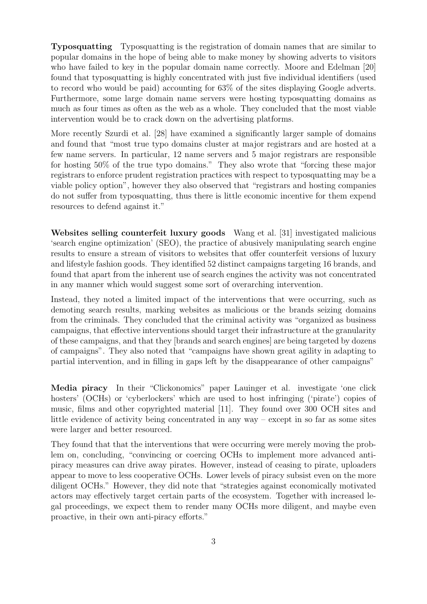Typosquatting Typosquatting is the registration of domain names that are similar to popular domains in the hope of being able to make money by showing adverts to visitors who have failed to key in the popular domain name correctly. Moore and Edelman [\[20\]](#page-14-1) found that typosquatting is highly concentrated with just five individual identifiers (used to record who would be paid) accounting for 63% of the sites displaying Google adverts. Furthermore, some large domain name servers were hosting typosquatting domains as much as four times as often as the web as a whole. They concluded that the most viable intervention would be to crack down on the advertising platforms.

More recently Szurdi et al. [\[28\]](#page-15-2) have examined a significantly larger sample of domains and found that "most true typo domains cluster at major registrars and are hosted at a few name servers. In particular, 12 name servers and 5 major registrars are responsible for hosting 50% of the true typo domains." They also wrote that "forcing these major registrars to enforce prudent registration practices with respect to typosquatting may be a viable policy option", however they also observed that "registrars and hosting companies do not suffer from typosquatting, thus there is little economic incentive for them expend resources to defend against it."

Websites selling counterfeit luxury goods Wang et al. [\[31\]](#page-15-3) investigated malicious 'search engine optimization' (SEO), the practice of abusively manipulating search engine results to ensure a stream of visitors to websites that offer counterfeit versions of luxury and lifestyle fashion goods. They identified 52 distinct campaigns targeting 16 brands, and found that apart from the inherent use of search engines the activity was not concentrated in any manner which would suggest some sort of overarching intervention.

Instead, they noted a limited impact of the interventions that were occurring, such as demoting search results, marking websites as malicious or the brands seizing domains from the criminals. They concluded that the criminal activity was "organized as business campaigns, that effective interventions should target their infrastructure at the granularity of these campaigns, and that they [brands and search engines] are being targeted by dozens of campaigns". They also noted that "campaigns have shown great agility in adapting to partial intervention, and in filling in gaps left by the disappearance of other campaigns"

Media piracy In their "Clickonomics" paper Lauinger et al. investigate 'one click hosters' (OCHs) or 'cyberlockers' which are used to host infringing ('pirate') copies of music, films and other copyrighted material [\[11\]](#page-14-2). They found over 300 OCH sites and little evidence of activity being concentrated in any way – except in so far as some sites were larger and better resourced.

They found that that the interventions that were occurring were merely moving the problem on, concluding, "convincing or coercing OCHs to implement more advanced antipiracy measures can drive away pirates. However, instead of ceasing to pirate, uploaders appear to move to less cooperative OCHs. Lower levels of piracy subsist even on the more diligent OCHs." However, they did note that "strategies against economically motivated actors may effectively target certain parts of the ecosystem. Together with increased legal proceedings, we expect them to render many OCHs more diligent, and maybe even proactive, in their own anti-piracy efforts."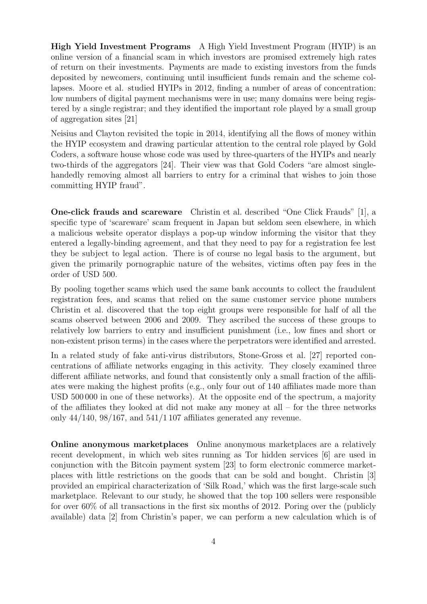High Yield Investment Programs A High Yield Investment Program (HYIP) is an online version of a financial scam in which investors are promised extremely high rates of return on their investments. Payments are made to existing investors from the funds deposited by newcomers, continuing until insufficient funds remain and the scheme collapses. Moore et al. studied HYIPs in 2012, finding a number of areas of concentration: low numbers of digital payment mechanisms were in use; many domains were being registered by a single registrar; and they identified the important role played by a small group of aggregation sites [\[21\]](#page-14-3)

Neisius and Clayton revisited the topic in 2014, identifying all the flows of money within the HYIP ecosystem and drawing particular attention to the central role played by Gold Coders, a software house whose code was used by three-quarters of the HYIPs and nearly two-thirds of the aggregators [\[24\]](#page-15-4). Their view was that Gold Coders "are almost singlehandedly removing almost all barriers to entry for a criminal that wishes to join those committing HYIP fraud".

One-click frauds and scareware Christin et al. described "One Click Frauds" [\[1\]](#page-13-0), a specific type of 'scareware' scam frequent in Japan but seldom seen elsewhere, in which a malicious website operator displays a pop-up window informing the visitor that they entered a legally-binding agreement, and that they need to pay for a registration fee lest they be subject to legal action. There is of course no legal basis to the argument, but given the primarily pornographic nature of the websites, victims often pay fees in the order of USD 500.

By pooling together scams which used the same bank accounts to collect the fraudulent registration fees, and scams that relied on the same customer service phone numbers Christin et al. discovered that the top eight groups were responsible for half of all the scams observed between 2006 and 2009. They ascribed the success of these groups to relatively low barriers to entry and insufficient punishment (i.e., low fines and short or non-existent prison terms) in the cases where the perpetrators were identified and arrested.

In a related study of fake anti-virus distributors, Stone-Gross et al. [\[27\]](#page-15-5) reported concentrations of affiliate networks engaging in this activity. They closely examined three different affiliate networks, and found that consistently only a small fraction of the affiliates were making the highest profits (e.g., only four out of 140 affiliates made more than USD 500 000 in one of these networks). At the opposite end of the spectrum, a majority of the affiliates they looked at did not make any money at all – for the three networks only  $44/140$ ,  $98/167$ , and  $541/1107$  affiliates generated any revenue.

Online anonymous marketplaces Online anonymous marketplaces are a relatively recent development, in which web sites running as Tor hidden services [\[6\]](#page-13-1) are used in conjunction with the Bitcoin payment system [\[23\]](#page-15-6) to form electronic commerce marketplaces with little restrictions on the goods that can be sold and bought. Christin [\[3\]](#page-13-2) provided an empirical characterization of 'Silk Road,' which was the first large-scale such marketplace. Relevant to our study, he showed that the top 100 sellers were responsible for over 60% of all transactions in the first six months of 2012. Poring over the (publicly available) data [\[2\]](#page-13-3) from Christin's paper, we can perform a new calculation which is of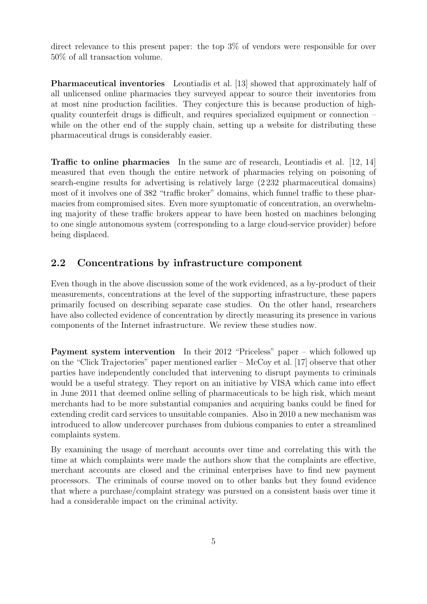direct relevance to this present paper: the top 3% of vendors were responsible for over 50% of all transaction volume.

Pharmaceutical inventories Leontiadis et al. [\[13\]](#page-14-4) showed that approximately half of all unlicensed online pharmacies they surveyed appear to source their inventories from at most nine production facilities. They conjecture this is because production of highquality counterfeit drugs is difficult, and requires specialized equipment or connection – while on the other end of the supply chain, setting up a website for distributing these pharmaceutical drugs is considerably easier.

Traffic to online pharmacies In the same arc of research, Leontiadis et al. [\[12,](#page-14-5) [14\]](#page-14-6) measured that even though the entire network of pharmacies relying on poisoning of search-engine results for advertising is relatively large (2 232 pharmaceutical domains) most of it involves one of 382 "traffic broker" domains, which funnel traffic to these pharmacies from compromised sites. Even more symptomatic of concentration, an overwhelming majority of these traffic brokers appear to have been hosted on machines belonging to one single autonomous system (corresponding to a large cloud-service provider) before being displaced.

## 2.2 Concentrations by infrastructure component

Even though in the above discussion some of the work evidenced, as a by-product of their measurements, concentrations at the level of the supporting infrastructure, these papers primarily focused on describing separate case studies. On the other hand, researchers have also collected evidence of concentration by directly measuring its presence in various components of the Internet infrastructure. We review these studies now.

Payment system intervention In their 2012 "Priceless" paper – which followed up on the "Click Trajectories" paper mentioned earlier – McCoy et al. [\[17\]](#page-14-7) observe that other parties have independently concluded that intervening to disrupt payments to criminals would be a useful strategy. They report on an initiative by VISA which came into effect in June 2011 that deemed online selling of pharmaceuticals to be high risk, which meant merchants had to be more substantial companies and acquiring banks could be fined for extending credit card services to unsuitable companies. Also in 2010 a new mechanism was introduced to allow undercover purchases from dubious companies to enter a streamlined complaints system.

By examining the usage of merchant accounts over time and correlating this with the time at which complaints were made the authors show that the complaints are effective, merchant accounts are closed and the criminal enterprises have to find new payment processors. The criminals of course moved on to other banks but they found evidence that where a purchase/complaint strategy was pursued on a consistent basis over time it had a considerable impact on the criminal activity.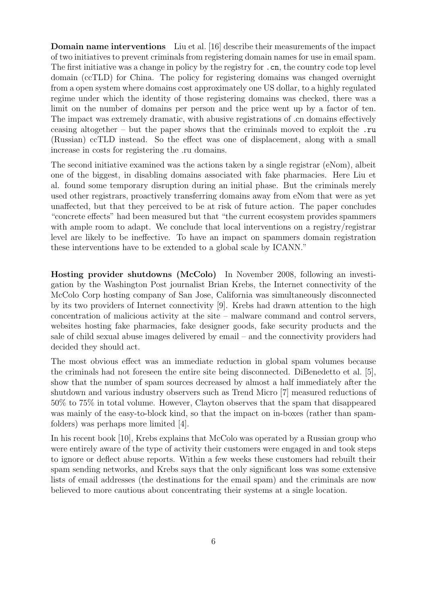Domain name interventions Liu et al. [\[16\]](#page-14-8) describe their measurements of the impact of two initiatives to prevent criminals from registering domain names for use in email spam. The first initiative was a change in policy by the registry for  $\cdot$  cn, the country code top level domain (ccTLD) for China. The policy for registering domains was changed overnight from a open system where domains cost approximately one US dollar, to a highly regulated regime under which the identity of those registering domains was checked, there was a limit on the number of domains per person and the price went up by a factor of ten. The impact was extremely dramatic, with abusive registrations of .cn domains effectively ceasing altogether – but the paper shows that the criminals moved to exploit the .ru (Russian) ccTLD instead. So the effect was one of displacement, along with a small increase in costs for registering the .ru domains.

The second initiative examined was the actions taken by a single registrar (eNom), albeit one of the biggest, in disabling domains associated with fake pharmacies. Here Liu et al. found some temporary disruption during an initial phase. But the criminals merely used other registrars, proactively transferring domains away from eNom that were as yet unaffected, but that they perceived to be at risk of future action. The paper concludes "concrete effects" had been measured but that "the current ecosystem provides spammers with ample room to adapt. We conclude that local interventions on a registry/registrar level are likely to be ineffective. To have an impact on spammers domain registration these interventions have to be extended to a global scale by ICANN."

Hosting provider shutdowns (McColo) In November 2008, following an investigation by the Washington Post journalist Brian Krebs, the Internet connectivity of the McColo Corp hosting company of San Jose, California was simultaneously disconnected by its two providers of Internet connectivity [\[9\]](#page-13-4). Krebs had drawn attention to the high concentration of malicious activity at the site – malware command and control servers, websites hosting fake pharmacies, fake designer goods, fake security products and the sale of child sexual abuse images delivered by email – and the connectivity providers had decided they should act.

The most obvious effect was an immediate reduction in global spam volumes because the criminals had not foreseen the entire site being disconnected. DiBenedetto et al. [\[5\]](#page-13-5), show that the number of spam sources decreased by almost a half immediately after the shutdown and various industry observers such as Trend Micro [\[7\]](#page-13-6) measured reductions of 50% to 75% in total volume. However, Clayton observes that the spam that disappeared was mainly of the easy-to-block kind, so that the impact on in-boxes (rather than spamfolders) was perhaps more limited [\[4\]](#page-13-7).

In his recent book [\[10\]](#page-14-9), Krebs explains that McColo was operated by a Russian group who were entirely aware of the type of activity their customers were engaged in and took steps to ignore or deflect abuse reports. Within a few weeks these customers had rebuilt their spam sending networks, and Krebs says that the only significant loss was some extensive lists of email addresses (the destinations for the email spam) and the criminals are now believed to more cautious about concentrating their systems at a single location.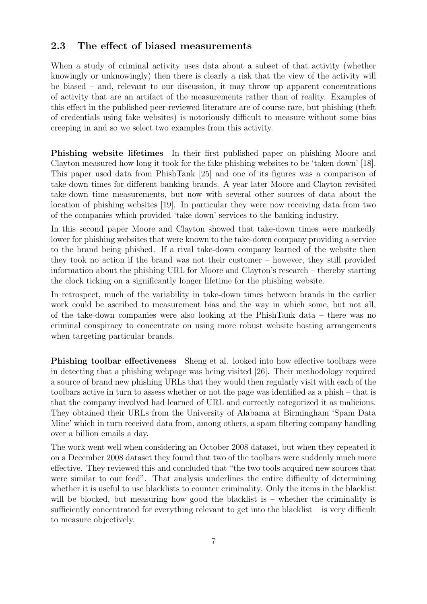### 2.3 The effect of biased measurements

When a study of criminal activity uses data about a subset of that activity (whether knowingly or unknowingly) then there is clearly a risk that the view of the activity will be biased – and, relevant to our discussion, it may throw up apparent concentrations of activity that are an artifact of the measurements rather than of reality. Examples of this effect in the published peer-reviewed literature are of course rare, but phishing (theft of credentials using fake websites) is notoriously difficult to measure without some bias creeping in and so we select two examples from this activity.

Phishing website lifetimes In their first published paper on phishing Moore and Clayton measured how long it took for the fake phishing websites to be 'taken down' [\[18\]](#page-14-10). This paper used data from PhishTank [\[25\]](#page-15-7) and one of its figures was a comparison of take-down times for different banking brands. A year later Moore and Clayton revisited take-down time measurements, but now with several other sources of data about the location of phishing websites [\[19\]](#page-14-11). In particular they were now receiving data from two of the companies which provided 'take down' services to the banking industry.

In this second paper Moore and Clayton showed that take-down times were markedly lower for phishing websites that were known to the take-down company providing a service to the brand being phished. If a rival take-down company learned of the website then they took no action if the brand was not their customer – however, they still provided information about the phishing URL for Moore and Clayton's research – thereby starting the clock ticking on a significantly longer lifetime for the phishing website.

In retrospect, much of the variability in take-down times between brands in the earlier work could be ascribed to measurement bias and the way in which some, but not all, of the take-down companies were also looking at the PhishTank data – there was no criminal conspiracy to concentrate on using more robust website hosting arrangements when targeting particular brands.

Phishing toolbar effectiveness Sheng et al. looked into how effective toolbars were in detecting that a phishing webpage was being visited [\[26\]](#page-15-8). Their methodology required a source of brand new phishing URLs that they would then regularly visit with each of the toolbars active in turn to assess whether or not the page was identified as a phish – that is that the company involved had learned of URL and correctly categorized it as malicious. They obtained their URLs from the University of Alabama at Birmingham 'Spam Data Mine' which in turn received data from, among others, a spam filtering company handling over a billion emails a day.

The work went well when considering an October 2008 dataset, but when they repeated it on a December 2008 dataset they found that two of the toolbars were suddenly much more effective. They reviewed this and concluded that "the two tools acquired new sources that were similar to our feed". That analysis underlines the entire difficulty of determining whether it is useful to use blacklists to counter criminality. Only the items in the blacklist will be blocked, but measuring how good the blacklist is – whether the criminality is sufficiently concentrated for everything relevant to get into the blacklist – is very difficult to measure objectively.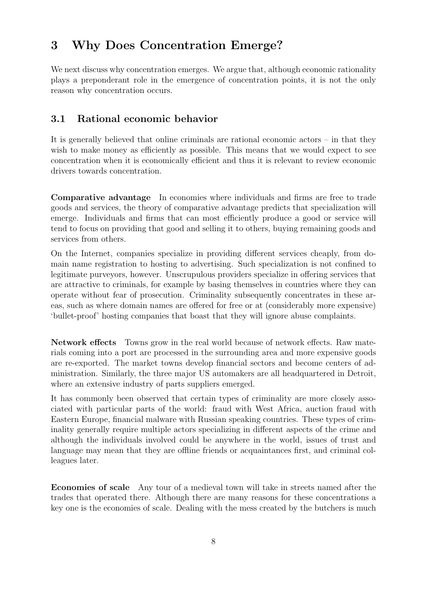# 3 Why Does Concentration Emerge?

We next discuss why concentration emerges. We argue that, although economic rationality plays a preponderant role in the emergence of concentration points, it is not the only reason why concentration occurs.

## 3.1 Rational economic behavior

It is generally believed that online criminals are rational economic actors – in that they wish to make money as efficiently as possible. This means that we would expect to see concentration when it is economically efficient and thus it is relevant to review economic drivers towards concentration.

Comparative advantage In economies where individuals and firms are free to trade goods and services, the theory of comparative advantage predicts that specialization will emerge. Individuals and firms that can most efficiently produce a good or service will tend to focus on providing that good and selling it to others, buying remaining goods and services from others.

On the Internet, companies specialize in providing different services cheaply, from domain name registration to hosting to advertising. Such specialization is not confined to legitimate purveyors, however. Unscrupulous providers specialize in offering services that are attractive to criminals, for example by basing themselves in countries where they can operate without fear of prosecution. Criminality subsequently concentrates in these areas, such as where domain names are offered for free or at (considerably more expensive) 'bullet-proof' hosting companies that boast that they will ignore abuse complaints.

Network effects Towns grow in the real world because of network effects. Raw materials coming into a port are processed in the surrounding area and more expensive goods are re-exported. The market towns develop financial sectors and become centers of administration. Similarly, the three major US automakers are all headquartered in Detroit, where an extensive industry of parts suppliers emerged.

It has commonly been observed that certain types of criminality are more closely associated with particular parts of the world: fraud with West Africa, auction fraud with Eastern Europe, financial malware with Russian speaking countries. These types of criminality generally require multiple actors specializing in different aspects of the crime and although the individuals involved could be anywhere in the world, issues of trust and language may mean that they are offline friends or acquaintances first, and criminal colleagues later.

Economies of scale Any tour of a medieval town will take in streets named after the trades that operated there. Although there are many reasons for these concentrations a key one is the economies of scale. Dealing with the mess created by the butchers is much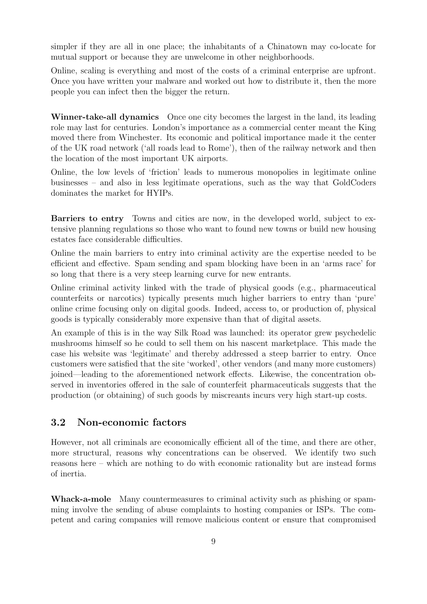simpler if they are all in one place; the inhabitants of a Chinatown may co-locate for mutual support or because they are unwelcome in other neighborhoods.

Online, scaling is everything and most of the costs of a criminal enterprise are upfront. Once you have written your malware and worked out how to distribute it, then the more people you can infect then the bigger the return.

Winner-take-all dynamics Once one city becomes the largest in the land, its leading role may last for centuries. London's importance as a commercial center meant the King moved there from Winchester. Its economic and political importance made it the center of the UK road network ('all roads lead to Rome'), then of the railway network and then the location of the most important UK airports.

Online, the low levels of 'friction' leads to numerous monopolies in legitimate online businesses – and also in less legitimate operations, such as the way that GoldCoders dominates the market for HYIPs.

Barriers to entry Towns and cities are now, in the developed world, subject to extensive planning regulations so those who want to found new towns or build new housing estates face considerable difficulties.

Online the main barriers to entry into criminal activity are the expertise needed to be efficient and effective. Spam sending and spam blocking have been in an 'arms race' for so long that there is a very steep learning curve for new entrants.

Online criminal activity linked with the trade of physical goods (e.g., pharmaceutical counterfeits or narcotics) typically presents much higher barriers to entry than 'pure' online crime focusing only on digital goods. Indeed, access to, or production of, physical goods is typically considerably more expensive than that of digital assets.

An example of this is in the way Silk Road was launched: its operator grew psychedelic mushrooms himself so he could to sell them on his nascent marketplace. This made the case his website was 'legitimate' and thereby addressed a steep barrier to entry. Once customers were satisfied that the site 'worked', other vendors (and many more customers) joined—leading to the aforementioned network effects. Likewise, the concentration observed in inventories offered in the sale of counterfeit pharmaceuticals suggests that the production (or obtaining) of such goods by miscreants incurs very high start-up costs.

## 3.2 Non-economic factors

However, not all criminals are economically efficient all of the time, and there are other, more structural, reasons why concentrations can be observed. We identify two such reasons here – which are nothing to do with economic rationality but are instead forms of inertia.

Whack-a-mole Many countermeasures to criminal activity such as phishing or spamming involve the sending of abuse complaints to hosting companies or ISPs. The competent and caring companies will remove malicious content or ensure that compromised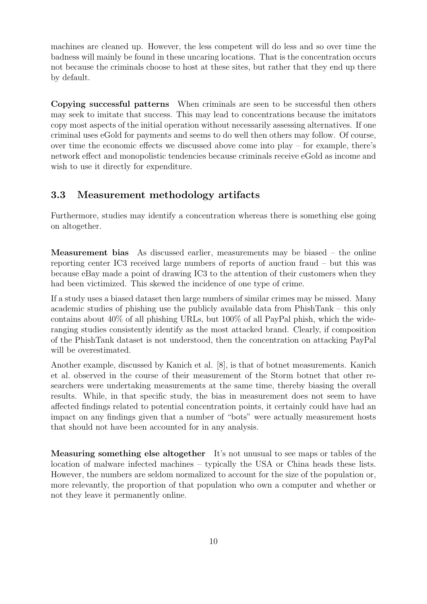machines are cleaned up. However, the less competent will do less and so over time the badness will mainly be found in these uncaring locations. That is the concentration occurs not because the criminals choose to host at these sites, but rather that they end up there by default.

Copying successful patterns When criminals are seen to be successful then others may seek to imitate that success. This may lead to concentrations because the imitators copy most aspects of the initial operation without necessarily assessing alternatives. If one criminal uses eGold for payments and seems to do well then others may follow. Of course, over time the economic effects we discussed above come into play – for example, there's network effect and monopolistic tendencies because criminals receive eGold as income and wish to use it directly for expenditure.

### 3.3 Measurement methodology artifacts

Furthermore, studies may identify a concentration whereas there is something else going on altogether.

Measurement bias As discussed earlier, measurements may be biased – the online reporting center IC3 received large numbers of reports of auction fraud – but this was because eBay made a point of drawing IC3 to the attention of their customers when they had been victimized. This skewed the incidence of one type of crime.

If a study uses a biased dataset then large numbers of similar crimes may be missed. Many academic studies of phishing use the publicly available data from PhishTank – this only contains about 40% of all phishing URLs, but 100% of all PayPal phish, which the wideranging studies consistently identify as the most attacked brand. Clearly, if composition of the PhishTank dataset is not understood, then the concentration on attacking PayPal will be overestimated.

Another example, discussed by Kanich et al. [\[8\]](#page-13-8), is that of botnet measurements. Kanich et al. observed in the course of their measurement of the Storm botnet that other researchers were undertaking measurements at the same time, thereby biasing the overall results. While, in that specific study, the bias in measurement does not seem to have affected findings related to potential concentration points, it certainly could have had an impact on any findings given that a number of "bots" were actually measurement hosts that should not have been accounted for in any analysis.

Measuring something else altogether It's not unusual to see maps or tables of the location of malware infected machines – typically the USA or China heads these lists. However, the numbers are seldom normalized to account for the size of the population or, more relevantly, the proportion of that population who own a computer and whether or not they leave it permanently online.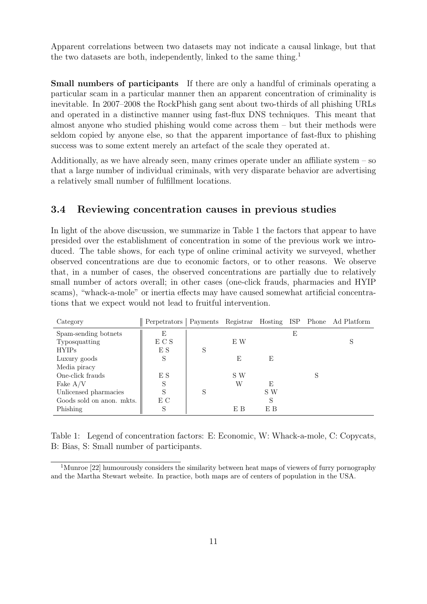Apparent correlations between two datasets may not indicate a causal linkage, but that the two datasets are both, independently, linked to the same thing.<sup>[1](#page-10-0)</sup>

Small numbers of participants If there are only a handful of criminals operating a particular scam in a particular manner then an apparent concentration of criminality is inevitable. In 2007–2008 the RockPhish gang sent about two-thirds of all phishing URLs and operated in a distinctive manner using fast-flux DNS techniques. This meant that almost anyone who studied phishing would come across them – but their methods were seldom copied by anyone else, so that the apparent importance of fast-flux to phishing success was to some extent merely an artefact of the scale they operated at.

Additionally, as we have already seen, many crimes operate under an affiliate system  $-$  so that a large number of individual criminals, with very disparate behavior are advertising a relatively small number of fulfillment locations.

## 3.4 Reviewing concentration causes in previous studies

In light of the above discussion, we summarize in Table [1](#page-10-1) the factors that appear to have presided over the establishment of concentration in some of the previous work we introduced. The table shows, for each type of online criminal activity we surveyed, whether observed concentrations are due to economic factors, or to other reasons. We observe that, in a number of cases, the observed concentrations are partially due to relatively small number of actors overall; in other cases (one-click frauds, pharmacies and HYIP scams), "whack-a-mole" or inertia effects may have caused somewhat artificial concentrations that we expect would not lead to fruitful intervention.

| Category                  | Perpetrators |   |     |     |   | Payments Registrar Hosting ISP Phone Ad Platform |
|---------------------------|--------------|---|-----|-----|---|--------------------------------------------------|
| Spam-sending botnets      | E            |   |     |     | E |                                                  |
| Typosquatting             | E C S        |   | E W |     |   | S                                                |
| <b>HYIPs</b>              | E S          | S |     |     |   |                                                  |
| Luxury goods              | S            |   | E   | E   |   |                                                  |
| Media piracy              |              |   |     |     |   |                                                  |
| One-click frauds          | E S          |   | S W |     |   |                                                  |
| Fake $A/V$                |              |   | W   | E   |   |                                                  |
| Unlicensed pharmacies     | S            | S |     | S W |   |                                                  |
| Goods sold on anon. mkts. | E C          |   |     | S   |   |                                                  |
| Phishing                  | S            |   | E B | E B |   |                                                  |

<span id="page-10-1"></span>Table 1: Legend of concentration factors: E: Economic, W: Whack-a-mole, C: Copycats, B: Bias, S: Small number of participants.

<span id="page-10-0"></span><sup>&</sup>lt;sup>1</sup>Munroe [\[22\]](#page-15-9) humourously considers the similarity between heat maps of viewers of furry pornography and the Martha Stewart website. In practice, both maps are of centers of population in the USA.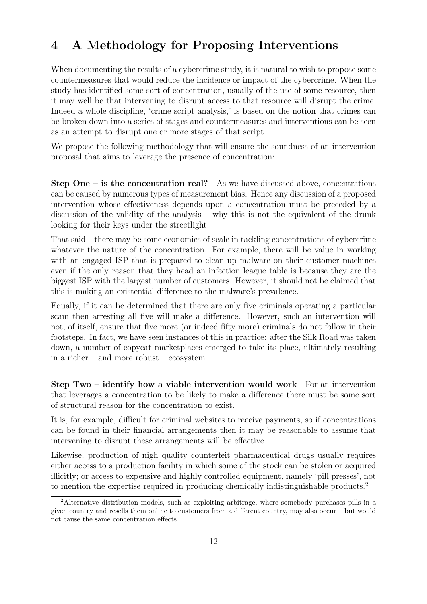# 4 A Methodology for Proposing Interventions

When documenting the results of a cybercrime study, it is natural to wish to propose some countermeasures that would reduce the incidence or impact of the cybercrime. When the study has identified some sort of concentration, usually of the use of some resource, then it may well be that intervening to disrupt access to that resource will disrupt the crime. Indeed a whole discipline, 'crime script analysis,' is based on the notion that crimes can be broken down into a series of stages and countermeasures and interventions can be seen as an attempt to disrupt one or more stages of that script.

We propose the following methodology that will ensure the soundness of an intervention proposal that aims to leverage the presence of concentration:

**Step One – is the concentration real?** As we have discussed above, concentrations can be caused by numerous types of measurement bias. Hence any discussion of a proposed intervention whose effectiveness depends upon a concentration must be preceded by a discussion of the validity of the analysis – why this is not the equivalent of the drunk looking for their keys under the streetlight.

That said – there may be some economies of scale in tackling concentrations of cybercrime whatever the nature of the concentration. For example, there will be value in working with an engaged ISP that is prepared to clean up malware on their customer machines even if the only reason that they head an infection league table is because they are the biggest ISP with the largest number of customers. However, it should not be claimed that this is making an existential difference to the malware's prevalence.

Equally, if it can be determined that there are only five criminals operating a particular scam then arresting all five will make a difference. However, such an intervention will not, of itself, ensure that five more (or indeed fifty more) criminals do not follow in their footsteps. In fact, we have seen instances of this in practice: after the Silk Road was taken down, a number of copycat marketplaces emerged to take its place, ultimately resulting in a richer – and more robust – ecosystem.

Step Two – identify how a viable intervention would work For an intervention that leverages a concentration to be likely to make a difference there must be some sort of structural reason for the concentration to exist.

It is, for example, difficult for criminal websites to receive payments, so if concentrations can be found in their financial arrangements then it may be reasonable to assume that intervening to disrupt these arrangements will be effective.

Likewise, production of nigh quality counterfeit pharmaceutical drugs usually requires either access to a production facility in which some of the stock can be stolen or acquired illicitly; or access to expensive and highly controlled equipment, namely 'pill presses', not to mention the expertise required in producing chemically indistinguishable products.[2](#page-11-0)

<span id="page-11-0"></span><sup>&</sup>lt;sup>2</sup>Alternative distribution models, such as exploiting arbitrage, where somebody purchases pills in a given country and resells them online to customers from a different country, may also occur – but would not cause the same concentration effects.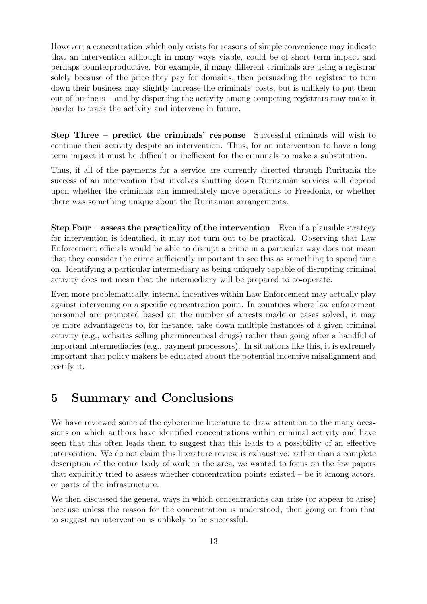However, a concentration which only exists for reasons of simple convenience may indicate that an intervention although in many ways viable, could be of short term impact and perhaps counterproductive. For example, if many different criminals are using a registrar solely because of the price they pay for domains, then persuading the registrar to turn down their business may slightly increase the criminals' costs, but is unlikely to put them out of business – and by dispersing the activity among competing registrars may make it harder to track the activity and intervene in future.

Step Three – predict the criminals' response Successful criminals will wish to continue their activity despite an intervention. Thus, for an intervention to have a long term impact it must be difficult or inefficient for the criminals to make a substitution.

Thus, if all of the payments for a service are currently directed through Ruritania the success of an intervention that involves shutting down Ruritanian services will depend upon whether the criminals can immediately move operations to Freedonia, or whether there was something unique about the Ruritanian arrangements.

Step Four – assess the practicality of the intervention Even if a plausible strategy for intervention is identified, it may not turn out to be practical. Observing that Law Enforcement officials would be able to disrupt a crime in a particular way does not mean that they consider the crime sufficiently important to see this as something to spend time on. Identifying a particular intermediary as being uniquely capable of disrupting criminal activity does not mean that the intermediary will be prepared to co-operate.

Even more problematically, internal incentives within Law Enforcement may actually play against intervening on a specific concentration point. In countries where law enforcement personnel are promoted based on the number of arrests made or cases solved, it may be more advantageous to, for instance, take down multiple instances of a given criminal activity (e.g., websites selling pharmaceutical drugs) rather than going after a handful of important intermediaries (e.g., payment processors). In situations like this, it is extremely important that policy makers be educated about the potential incentive misalignment and rectify it.

# 5 Summary and Conclusions

We have reviewed some of the cybercrime literature to draw attention to the many occasions on which authors have identified concentrations within criminal activity and have seen that this often leads them to suggest that this leads to a possibility of an effective intervention. We do not claim this literature review is exhaustive: rather than a complete description of the entire body of work in the area, we wanted to focus on the few papers that explicitly tried to assess whether concentration points existed – be it among actors, or parts of the infrastructure.

We then discussed the general ways in which concentrations can arise (or appear to arise) because unless the reason for the concentration is understood, then going on from that to suggest an intervention is unlikely to be successful.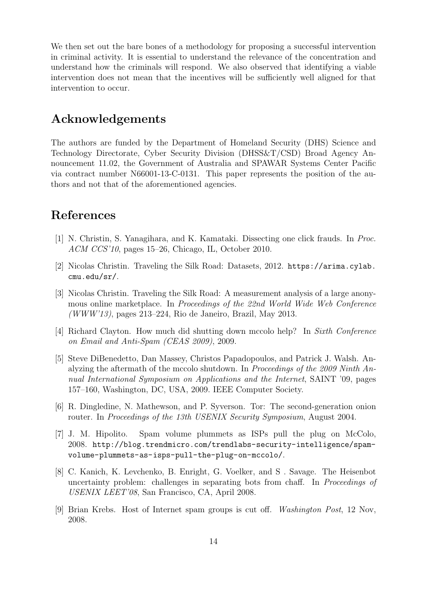We then set out the bare bones of a methodology for proposing a successful intervention in criminal activity. It is essential to understand the relevance of the concentration and understand how the criminals will respond. We also observed that identifying a viable intervention does not mean that the incentives will be sufficiently well aligned for that intervention to occur.

# Acknowledgements

The authors are funded by the Department of Homeland Security (DHS) Science and Technology Directorate, Cyber Security Division (DHSS&T/CSD) Broad Agency Announcement 11.02, the Government of Australia and SPAWAR Systems Center Pacific via contract number N66001-13-C-0131. This paper represents the position of the authors and not that of the aforementioned agencies.

## References

- <span id="page-13-0"></span>[1] N. Christin, S. Yanagihara, and K. Kamataki. Dissecting one click frauds. In Proc. ACM CCS'10, pages 15–26, Chicago, IL, October 2010.
- <span id="page-13-3"></span>[2] Nicolas Christin. Traveling the Silk Road: Datasets, 2012. [https://arima.cylab.](https://arima.cylab.cmu.edu/sr/) [cmu.edu/sr/](https://arima.cylab.cmu.edu/sr/).
- <span id="page-13-2"></span>[3] Nicolas Christin. Traveling the Silk Road: A measurement analysis of a large anonymous online marketplace. In Proceedings of the 22nd World Wide Web Conference (WWW'13), pages 213–224, Rio de Janeiro, Brazil, May 2013.
- <span id="page-13-7"></span>[4] Richard Clayton. How much did shutting down mccolo help? In Sixth Conference on Email and Anti-Spam (CEAS 2009), 2009.
- <span id="page-13-5"></span>[5] Steve DiBenedetto, Dan Massey, Christos Papadopoulos, and Patrick J. Walsh. Analyzing the aftermath of the mccolo shutdown. In Proceedings of the 2009 Ninth Annual International Symposium on Applications and the Internet, SAINT '09, pages 157–160, Washington, DC, USA, 2009. IEEE Computer Society.
- <span id="page-13-1"></span>[6] R. Dingledine, N. Mathewson, and P. Syverson. Tor: The second-generation onion router. In Proceedings of the 13th USENIX Security Symposium, August 2004.
- <span id="page-13-6"></span>[7] J. M. Hipolito. Spam volume plummets as ISPs pull the plug on McColo, 2008. [http://blog.trendmicro.com/trendlabs-security-intelligence/spam](http://blog.trendmicro.com/trendlabs-security- intelligence/spam-volume-plummets-as-isps-pull-the-plug-on-mccolo/)[volume-plummets-as-isps-pull-the-plug-on-mccolo/](http://blog.trendmicro.com/trendlabs-security- intelligence/spam-volume-plummets-as-isps-pull-the-plug-on-mccolo/).
- <span id="page-13-8"></span>[8] C. Kanich, K. Levchenko, B. Enright, G. Voelker, and S . Savage. The Heisenbot uncertainty problem: challenges in separating bots from chaff. In *Proceedings of* USENIX LEET'08, San Francisco, CA, April 2008.
- <span id="page-13-4"></span>[9] Brian Krebs. Host of Internet spam groups is cut off. Washington Post, 12 Nov, 2008.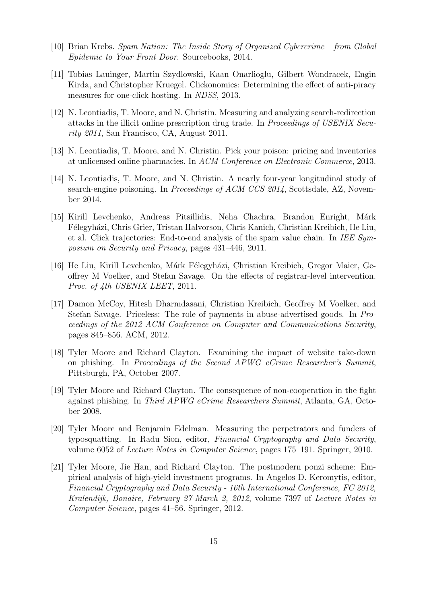- <span id="page-14-9"></span>[10] Brian Krebs. Spam Nation: The Inside Story of Organized Cybercrime – from Global Epidemic to Your Front Door. Sourcebooks, 2014.
- <span id="page-14-2"></span>[11] Tobias Lauinger, Martin Szydlowski, Kaan Onarlioglu, Gilbert Wondracek, Engin Kirda, and Christopher Kruegel. Clickonomics: Determining the effect of anti-piracy measures for one-click hosting. In NDSS, 2013.
- <span id="page-14-5"></span>[12] N. Leontiadis, T. Moore, and N. Christin. Measuring and analyzing search-redirection attacks in the illicit online prescription drug trade. In Proceedings of USENIX Security 2011, San Francisco, CA, August 2011.
- <span id="page-14-4"></span>[13] N. Leontiadis, T. Moore, and N. Christin. Pick your poison: pricing and inventories at unlicensed online pharmacies. In ACM Conference on Electronic Commerce, 2013.
- <span id="page-14-6"></span>[14] N. Leontiadis, T. Moore, and N. Christin. A nearly four-year longitudinal study of search-engine poisoning. In Proceedings of ACM CCS 2014, Scottsdale, AZ, November 2014.
- <span id="page-14-0"></span>[15] Kirill Levchenko, Andreas Pitsillidis, Neha Chachra, Brandon Enright, Márk F´elegyh´azi, Chris Grier, Tristan Halvorson, Chris Kanich, Christian Kreibich, He Liu, et al. Click trajectories: End-to-end analysis of the spam value chain. In IEE Symposium on Security and Privacy, pages 431–446, 2011.
- <span id="page-14-8"></span>[16] He Liu, Kirill Levchenko, Márk Félegyházi, Christian Kreibich, Gregor Maier, Geoffrey M Voelker, and Stefan Savage. On the effects of registrar-level intervention. Proc. of 4th USENIX LEET, 2011.
- <span id="page-14-7"></span>[17] Damon McCoy, Hitesh Dharmdasani, Christian Kreibich, Geoffrey M Voelker, and Stefan Savage. Priceless: The role of payments in abuse-advertised goods. In Proceedings of the 2012 ACM Conference on Computer and Communications Security, pages 845–856. ACM, 2012.
- <span id="page-14-10"></span>[18] Tyler Moore and Richard Clayton. Examining the impact of website take-down on phishing. In Proceedings of the Second APWG eCrime Researcher's Summit, Pittsburgh, PA, October 2007.
- <span id="page-14-11"></span>[19] Tyler Moore and Richard Clayton. The consequence of non-cooperation in the fight against phishing. In Third APWG eCrime Researchers Summit, Atlanta, GA, October 2008.
- <span id="page-14-1"></span>[20] Tyler Moore and Benjamin Edelman. Measuring the perpetrators and funders of typosquatting. In Radu Sion, editor, Financial Cryptography and Data Security, volume 6052 of Lecture Notes in Computer Science, pages 175–191. Springer, 2010.
- <span id="page-14-3"></span>[21] Tyler Moore, Jie Han, and Richard Clayton. The postmodern ponzi scheme: Empirical analysis of high-yield investment programs. In Angelos D. Keromytis, editor, Financial Cryptography and Data Security - 16th International Conference, FC 2012, Kralendijk, Bonaire, February 27-March 2, 2012, volume 7397 of Lecture Notes in Computer Science, pages 41–56. Springer, 2012.